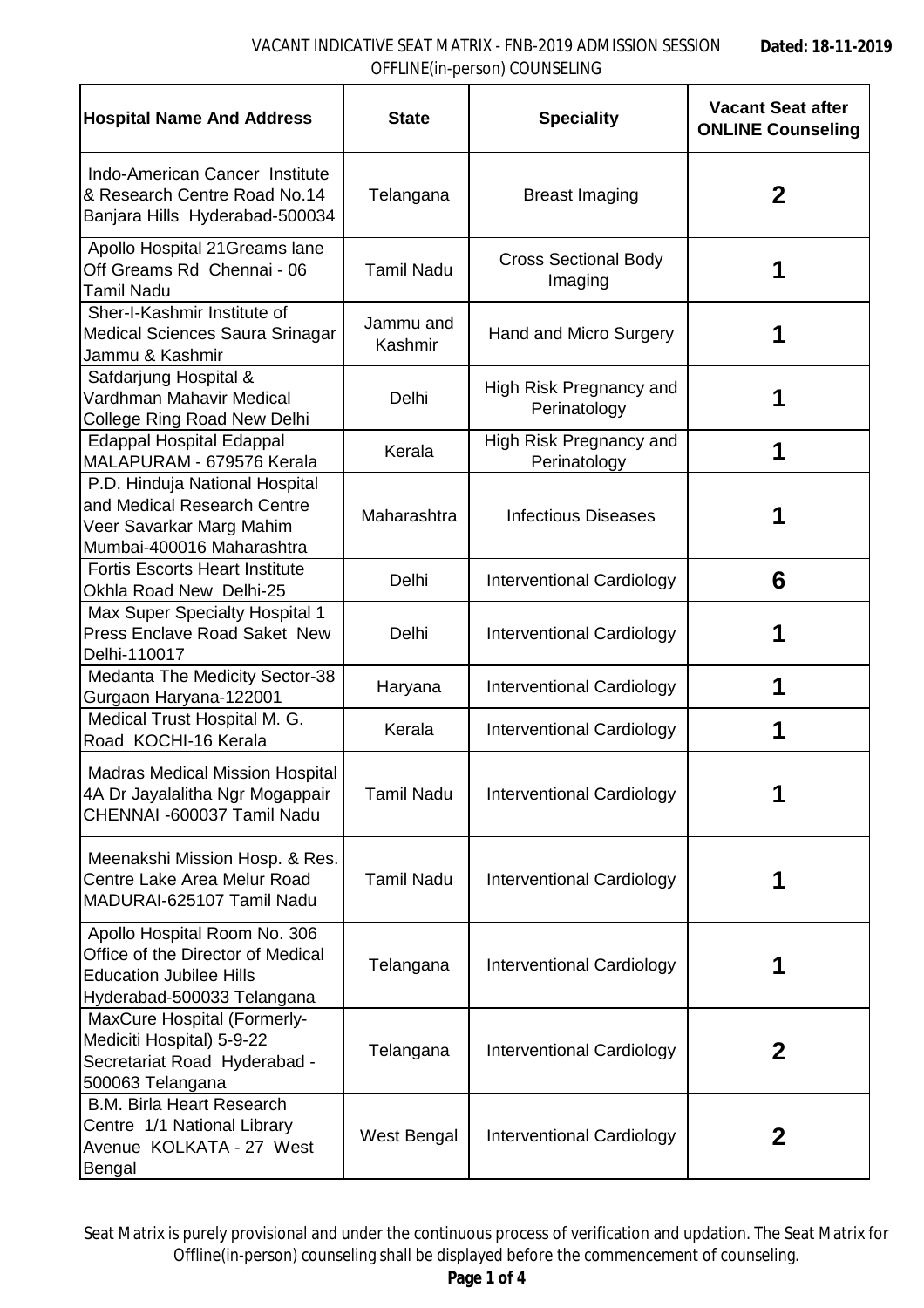| <b>Hospital Name And Address</b>                                                                                                  | <b>State</b>         | <b>Speciality</b>                       | <b>Vacant Seat after</b><br><b>ONLINE Counseling</b> |
|-----------------------------------------------------------------------------------------------------------------------------------|----------------------|-----------------------------------------|------------------------------------------------------|
| Indo-American Cancer Institute<br>& Research Centre Road No.14<br>Banjara Hills Hyderabad-500034                                  | Telangana            | <b>Breast Imaging</b>                   | $\mathbf 2$                                          |
| Apollo Hospital 21 Greams lane<br>Off Greams Rd Chennai - 06<br>Tamil Nadu                                                        | <b>Tamil Nadu</b>    | <b>Cross Sectional Body</b><br>Imaging  | 1                                                    |
| Sher-I-Kashmir Institute of<br>Medical Sciences Saura Srinagar<br>Jammu & Kashmir                                                 | Jammu and<br>Kashmir | Hand and Micro Surgery                  |                                                      |
| Safdarjung Hospital &<br>Vardhman Mahavir Medical<br>College Ring Road New Delhi                                                  | Delhi                | High Risk Pregnancy and<br>Perinatology | 1                                                    |
| <b>Edappal Hospital Edappal</b><br>MALAPURAM - 679576 Kerala                                                                      | Kerala               | High Risk Pregnancy and<br>Perinatology | 1                                                    |
| P.D. Hinduja National Hospital<br>and Medical Research Centre<br>Veer Savarkar Marg Mahim<br>Mumbai-400016 Maharashtra            | Maharashtra          | <b>Infectious Diseases</b>              |                                                      |
| <b>Fortis Escorts Heart Institute</b><br>Okhla Road New Delhi-25                                                                  | Delhi                | Interventional Cardiology               | 6                                                    |
| Max Super Specialty Hospital 1<br><b>Press Enclave Road Saket New</b><br>Delhi-110017                                             | Delhi                | Interventional Cardiology               | 1                                                    |
| Medanta The Medicity Sector-38<br>Gurgaon Haryana-122001                                                                          | Haryana              | Interventional Cardiology               | 1                                                    |
| Medical Trust Hospital M. G.<br>Road KOCHI-16 Kerala                                                                              | Kerala               | Interventional Cardiology               | 1                                                    |
| <b>Madras Medical Mission Hospital</b><br>4A Dr Jayalalitha Ngr Mogappair<br>CHENNAI -600037 Tamil Nadu                           | <b>Tamil Nadu</b>    | <b>Interventional Cardiology</b>        | 1                                                    |
| Meenakshi Mission Hosp. & Res.<br>Centre Lake Area Melur Road<br>MADURAI-625107 Tamil Nadu                                        | <b>Tamil Nadu</b>    | <b>Interventional Cardiology</b>        |                                                      |
| Apollo Hospital Room No. 306<br>Office of the Director of Medical<br><b>Education Jubilee Hills</b><br>Hyderabad-500033 Telangana | Telangana            | Interventional Cardiology               | 1                                                    |
| MaxCure Hospital (Formerly-<br>Mediciti Hospital) 5-9-22<br>Secretariat Road Hyderabad -<br>500063 Telangana                      | Telangana            | Interventional Cardiology               | $\mathbf 2$                                          |
| <b>B.M. Birla Heart Research</b><br>Centre 1/1 National Library<br>Avenue KOLKATA - 27 West<br>Bengal                             | West Bengal          | Interventional Cardiology               | $\mathbf 2$                                          |

Seat Matrix is purely provisional and under the continuous process of verification and updation. The Seat Matrix for Offline(in-person) counseling shall be displayed before the commencement of counseling.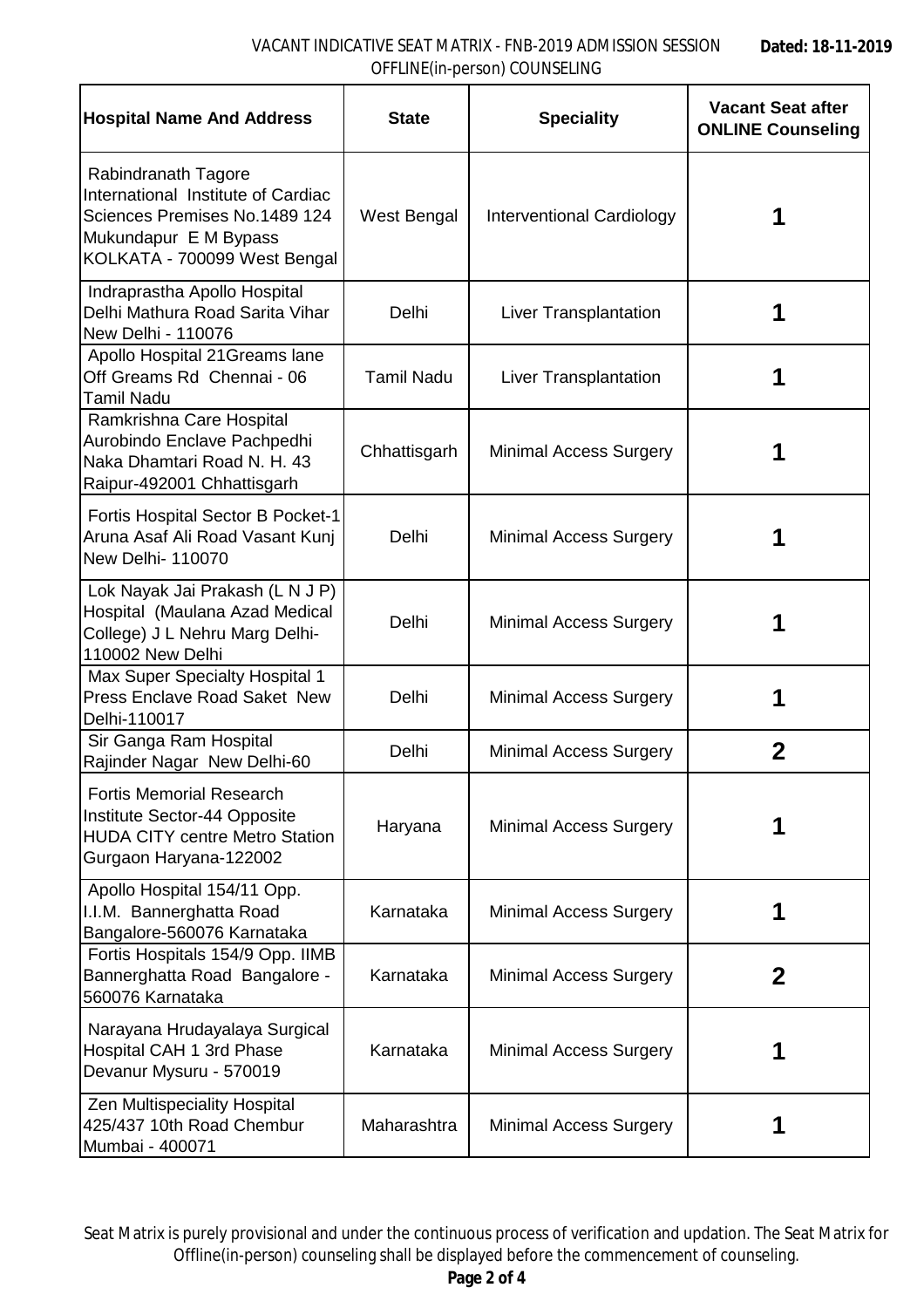## VACANT INDICATIVE SEAT MATRIX - FNB-2019 ADMISSION SESSION OFFLINE(in-person) COUNSELING

| <b>Hospital Name And Address</b>                                                                                                                    | <b>State</b>      | <b>Speciality</b>                | <b>Vacant Seat after</b><br><b>ONLINE Counseling</b> |
|-----------------------------------------------------------------------------------------------------------------------------------------------------|-------------------|----------------------------------|------------------------------------------------------|
| Rabindranath Tagore<br>International Institute of Cardiac<br>Sciences Premises No.1489 124<br>Mukundapur E M Bypass<br>KOLKATA - 700099 West Bengal | West Bengal       | <b>Interventional Cardiology</b> |                                                      |
| Indraprastha Apollo Hospital<br>Delhi Mathura Road Sarita Vihar<br>New Delhi - 110076                                                               | Delhi             | Liver Transplantation            | 1                                                    |
| Apollo Hospital 21 Greams lane<br>Off Greams Rd Chennai - 06<br><b>Tamil Nadu</b>                                                                   | <b>Tamil Nadu</b> | Liver Transplantation            |                                                      |
| Ramkrishna Care Hospital<br>Aurobindo Enclave Pachpedhi<br>Naka Dhamtari Road N. H. 43<br>Raipur-492001 Chhattisgarh                                | Chhattisgarh      | <b>Minimal Access Surgery</b>    |                                                      |
| Fortis Hospital Sector B Pocket-1<br>Aruna Asaf Ali Road Vasant Kunj<br>New Delhi- 110070                                                           | Delhi             | <b>Minimal Access Surgery</b>    |                                                      |
| Lok Nayak Jai Prakash (L N J P)<br>Hospital (Maulana Azad Medical<br>College) J L Nehru Marg Delhi-<br>110002 New Delhi                             | Delhi             | <b>Minimal Access Surgery</b>    |                                                      |
| Max Super Specialty Hospital 1<br><b>Press Enclave Road Saket New</b><br>Delhi-110017                                                               | Delhi             | Minimal Access Surgery           |                                                      |
| Sir Ganga Ram Hospital<br>Rajinder Nagar New Delhi-60                                                                                               | Delhi             | <b>Minimal Access Surgery</b>    | $\mathbf 2$                                          |
| <b>Fortis Memorial Research</b><br>Institute Sector-44 Opposite<br><b>HUDA CITY centre Metro Station</b><br>Gurgaon Haryana-122002                  | Haryana           | <b>Minimal Access Surgery</b>    |                                                      |
| Apollo Hospital 154/11 Opp.<br>I.I.M. Bannerghatta Road<br>Bangalore-560076 Karnataka                                                               | Karnataka         | <b>Minimal Access Surgery</b>    | 1                                                    |
| Fortis Hospitals 154/9 Opp. IIMB<br>Bannerghatta Road Bangalore -<br>560076 Karnataka                                                               | Karnataka         | <b>Minimal Access Surgery</b>    | $\mathbf{2}$                                         |
| Narayana Hrudayalaya Surgical<br>Hospital CAH 1 3rd Phase<br>Devanur Mysuru - 570019                                                                | Karnataka         | <b>Minimal Access Surgery</b>    |                                                      |
| Zen Multispeciality Hospital<br>425/437 10th Road Chembur<br>Mumbai - 400071                                                                        | Maharashtra       | <b>Minimal Access Surgery</b>    | 1                                                    |

Seat Matrix is purely provisional and under the continuous process of verification and updation. The Seat Matrix for Offline(in-person) counseling shall be displayed before the commencement of counseling.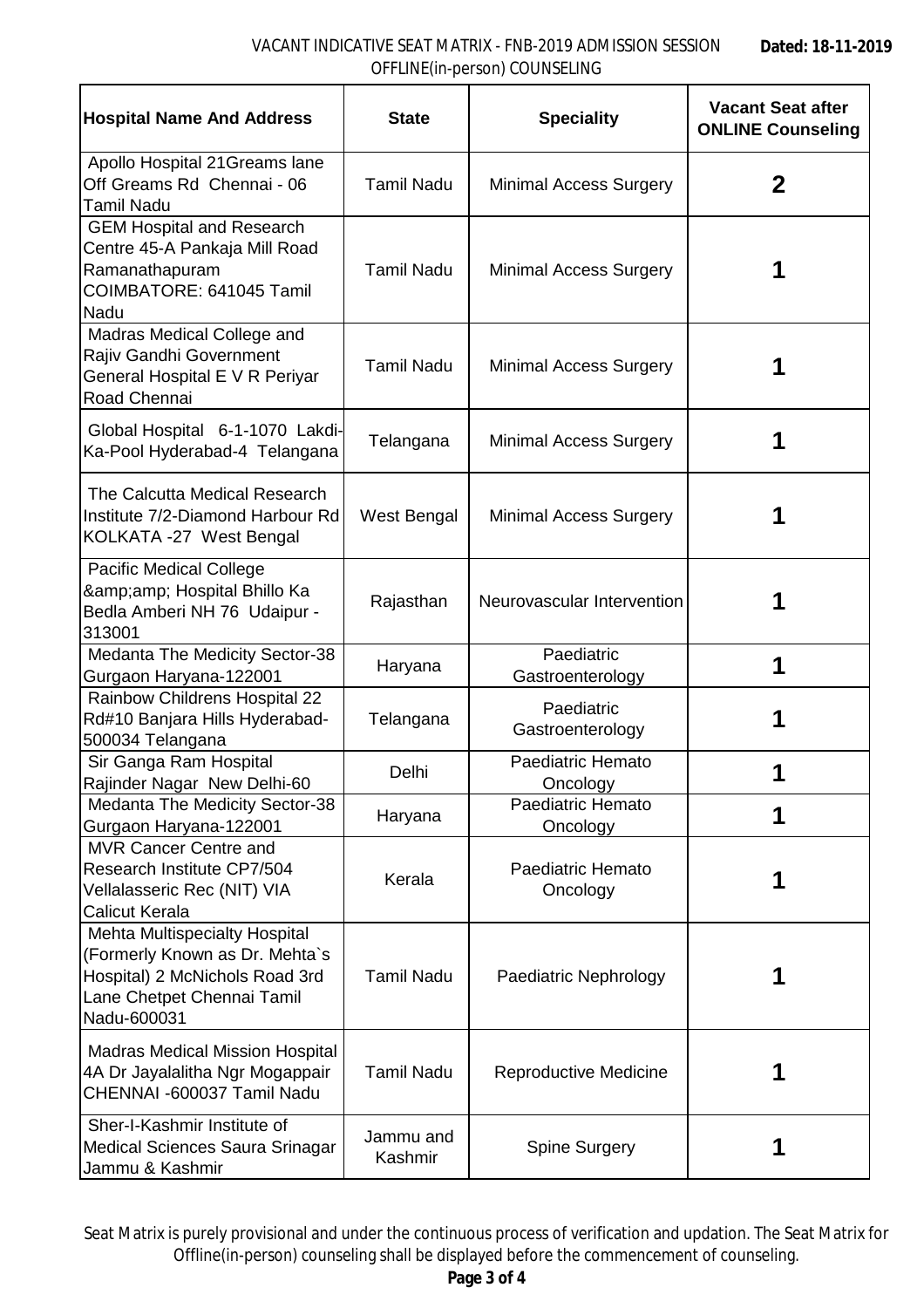## VACANT INDICATIVE SEAT MATRIX - FNB-2019 ADMISSION SESSION OFFLINE(in-person) COUNSELING

| <b>Hospital Name And Address</b>                                                                                                                      | <b>State</b>         | <b>Speciality</b>              | <b>Vacant Seat after</b><br><b>ONLINE Counseling</b> |
|-------------------------------------------------------------------------------------------------------------------------------------------------------|----------------------|--------------------------------|------------------------------------------------------|
| Apollo Hospital 21Greams lane<br>Off Greams Rd Chennai - 06<br><b>Tamil Nadu</b>                                                                      | <b>Tamil Nadu</b>    | Minimal Access Surgery         | 2                                                    |
| <b>GEM Hospital and Research</b><br>Centre 45-A Pankaja Mill Road<br>Ramanathapuram<br>COIMBATORE: 641045 Tamil<br><b>Nadu</b>                        | <b>Tamil Nadu</b>    | Minimal Access Surgery         |                                                      |
| Madras Medical College and<br>Rajiv Gandhi Government<br>General Hospital E V R Periyar<br>Road Chennai                                               | <b>Tamil Nadu</b>    | <b>Minimal Access Surgery</b>  | 1                                                    |
| Global Hospital 6-1-1070 Lakdi-<br>Ka-Pool Hyderabad-4 Telangana                                                                                      | Telangana            | Minimal Access Surgery         | 1                                                    |
| The Calcutta Medical Research<br>Institute 7/2-Diamond Harbour Rd<br>KOLKATA -27 West Bengal                                                          | West Bengal          | <b>Minimal Access Surgery</b>  | 1                                                    |
| <b>Pacific Medical College</b><br>& Hospital Bhillo Ka<br>Bedla Amberi NH 76 Udaipur -<br>313001                                                      | Rajasthan            | Neurovascular Intervention     | 1                                                    |
| Medanta The Medicity Sector-38<br>Gurgaon Haryana-122001                                                                                              | Haryana              | Paediatric<br>Gastroenterology | 1                                                    |
| Rainbow Childrens Hospital 22<br>Rd#10 Banjara Hills Hyderabad-<br>500034 Telangana                                                                   | Telangana            | Paediatric<br>Gastroenterology | 1                                                    |
| Sir Ganga Ram Hospital<br>Rajinder Nagar New Delhi-60                                                                                                 | Delhi                | Paediatric Hemato<br>Oncology  |                                                      |
| Medanta The Medicity Sector-38<br>Gurgaon Haryana-122001                                                                                              | Haryana              | Paediatric Hemato<br>Oncology  | 1                                                    |
| <b>MVR Cancer Centre and</b><br>Research Institute CP7/504<br>Vellalasseric Rec (NIT) VIA<br><b>Calicut Kerala</b>                                    | Kerala               | Paediatric Hemato<br>Oncology  | 1                                                    |
| <b>Mehta Multispecialty Hospital</b><br>(Formerly Known as Dr. Mehta`s<br>Hospital) 2 McNichols Road 3rd<br>Lane Chetpet Chennai Tamil<br>Nadu-600031 | <b>Tamil Nadu</b>    | Paediatric Nephrology          |                                                      |
| <b>Madras Medical Mission Hospital</b><br>4A Dr Jayalalitha Ngr Mogappair<br>CHENNAI -600037 Tamil Nadu                                               | <b>Tamil Nadu</b>    | Reproductive Medicine          |                                                      |
| Sher-I-Kashmir Institute of<br>Medical Sciences Saura Srinagar<br>Jammu & Kashmir                                                                     | Jammu and<br>Kashmir | <b>Spine Surgery</b>           |                                                      |

Seat Matrix is purely provisional and under the continuous process of verification and updation. The Seat Matrix for Offline(in-person) counseling shall be displayed before the commencement of counseling.